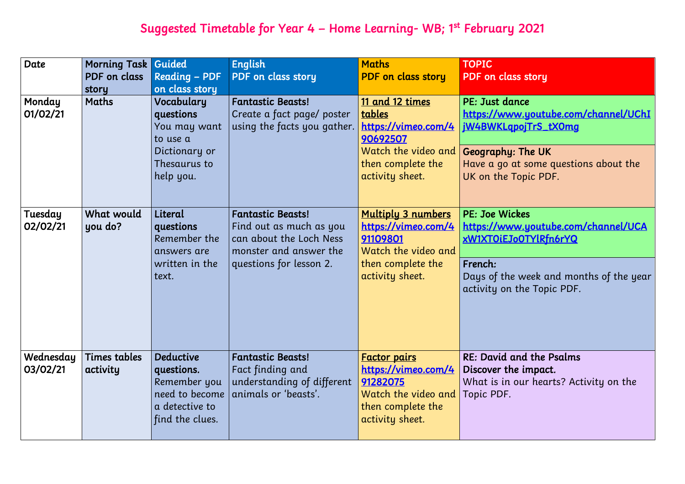# Suggested Timetable for Year 4 – Home Learning- WB; 1st February 2021

| Date                  | <b>Morning Task</b><br>PDF on class<br>story | Guided<br><b>Reading - PDF</b><br>on class story                                                      | <b>English</b><br>PDF on class story                                                                                                | <b>Maths</b><br><b>PDF</b> on class story                                                                                   | <b>TOPIC</b><br><b>PDF</b> on clas                                                   |
|-----------------------|----------------------------------------------|-------------------------------------------------------------------------------------------------------|-------------------------------------------------------------------------------------------------------------------------------------|-----------------------------------------------------------------------------------------------------------------------------|--------------------------------------------------------------------------------------|
| Monday<br>01/02/21    | Maths                                        | Vocabulary<br>questions<br>You may want<br>to use a<br>Dictionary or<br>Thesaurus to<br>help you.     | <b>Fantastic Beasts!</b><br>Create a fact page/ poster<br>using the facts you gather.                                               | 11 and 12 times<br>tables<br>https://vimeo.com/4<br>90692507<br>Watch the video and<br>then complete the<br>activity sheet. | PE: Just dar<br>https://wwv<br>jW4BWKLgp<br>Geography:<br>Have a go a<br>UK on the T |
| Tuesday<br>02/02/21   | What would<br>you do?                        | Literal<br>questions<br>Remember the<br>answers are<br>written in the<br>text.                        | <b>Fantastic Beasts!</b><br>Find out as much as you<br>can about the Loch Ness<br>monster and answer the<br>questions for lesson 2. | <b>Multiply 3 numbers</b><br>https://vimeo.com/4<br>91109801<br>Watch the video and<br>then complete the<br>activity sheet. | PE: Joe Wicl<br>https://wwv<br>xW1XTOiEJo<br>French:<br>Days of the<br>activity on t |
| Wednesday<br>03/02/21 | Times tables<br>activity                     | <b>Deductive</b><br>questions.<br>Remember you<br>need to become<br>a detective to<br>find the clues. | <b>Fantastic Beasts!</b><br>Fact finding and<br>understanding of different<br>animals or 'beasts'.                                  | <u>Factor pairs</u><br>https://vimeo.com/4<br>91282075<br>Watch the video and<br>then complete the<br>activity sheet.       | RE: David a<br>Discover the<br>What is in c<br>Topic PDF.                            |

### s story

### 1ce

w.youtube.com/channel/UChI ojTrS\_tX0mg

The UK t some questions about the opic PDF.

### kes

<mark>w.youtube.com/channel/UCA</mark> oTYlRfn6rYQ

week and months of the year the Topic PDF.

nd the Psalms dimpact. our hearts? Activity on the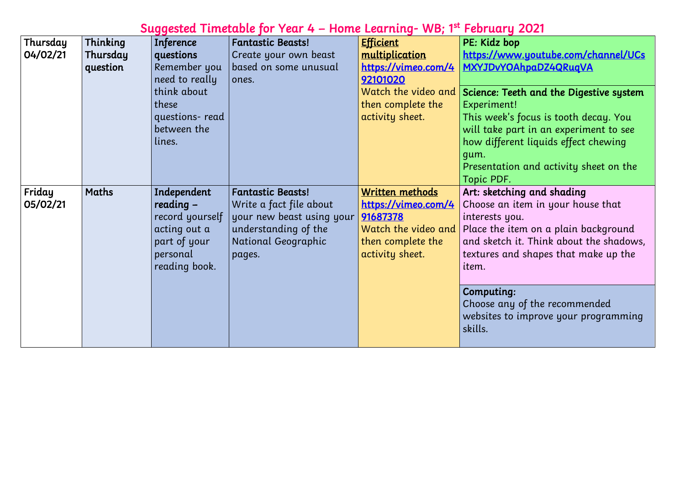# Suggested Timetable for Year 4 – Home Learning- WB; 1st February 2021

| Thinking<br>Efficient<br>Thursday<br>PE: Kidz bop<br><b>Inference</b><br><b>Fantastic Beasts!</b><br>04/02/21<br>questions<br>multiplication<br>Thursday<br>https://www.u<br>Create your own beast<br>MXYJDvYOAh<br>Remember you<br>based on some unusual<br><u>https://vimeo.com/4</u><br>question<br>need to really<br>92101020<br>ones.<br>think about<br>Watch the video and Science: Teeth<br>these<br>then complete the<br>Experiment!<br>questions-read<br>activity sheet.<br>This week's for<br>between the<br>will take part<br>lines.<br>how different<br>gum.<br>Presentation o<br>Topic PDF.<br>Friday<br>Maths<br>Independent<br>Written methods<br><b>Fantastic Beasts!</b><br>Art: sketching<br>05/02/21<br>$reading -$<br>https://vimeo.com/4<br>Choose an iter<br>Write a fact file about<br>your new beast using your<br>record yourself<br>91687378<br>interests you.<br>understanding of the<br>Watch the video and<br>Place the item<br>acting out a<br>part of your<br>National Geographic<br>and sketch it.<br>then complete the<br>activity sheet.<br>personal<br>textures and s<br>pages.<br>reading book.<br>item.<br><b>Computing:</b><br>Choose any of<br>websites to im<br>skills. |  |  |  |
|-----------------------------------------------------------------------------------------------------------------------------------------------------------------------------------------------------------------------------------------------------------------------------------------------------------------------------------------------------------------------------------------------------------------------------------------------------------------------------------------------------------------------------------------------------------------------------------------------------------------------------------------------------------------------------------------------------------------------------------------------------------------------------------------------------------------------------------------------------------------------------------------------------------------------------------------------------------------------------------------------------------------------------------------------------------------------------------------------------------------------------------------------------------------------------------------------------------------|--|--|--|
|                                                                                                                                                                                                                                                                                                                                                                                                                                                                                                                                                                                                                                                                                                                                                                                                                                                                                                                                                                                                                                                                                                                                                                                                                 |  |  |  |
|                                                                                                                                                                                                                                                                                                                                                                                                                                                                                                                                                                                                                                                                                                                                                                                                                                                                                                                                                                                                                                                                                                                                                                                                                 |  |  |  |
|                                                                                                                                                                                                                                                                                                                                                                                                                                                                                                                                                                                                                                                                                                                                                                                                                                                                                                                                                                                                                                                                                                                                                                                                                 |  |  |  |
|                                                                                                                                                                                                                                                                                                                                                                                                                                                                                                                                                                                                                                                                                                                                                                                                                                                                                                                                                                                                                                                                                                                                                                                                                 |  |  |  |
|                                                                                                                                                                                                                                                                                                                                                                                                                                                                                                                                                                                                                                                                                                                                                                                                                                                                                                                                                                                                                                                                                                                                                                                                                 |  |  |  |
|                                                                                                                                                                                                                                                                                                                                                                                                                                                                                                                                                                                                                                                                                                                                                                                                                                                                                                                                                                                                                                                                                                                                                                                                                 |  |  |  |
|                                                                                                                                                                                                                                                                                                                                                                                                                                                                                                                                                                                                                                                                                                                                                                                                                                                                                                                                                                                                                                                                                                                                                                                                                 |  |  |  |
|                                                                                                                                                                                                                                                                                                                                                                                                                                                                                                                                                                                                                                                                                                                                                                                                                                                                                                                                                                                                                                                                                                                                                                                                                 |  |  |  |
|                                                                                                                                                                                                                                                                                                                                                                                                                                                                                                                                                                                                                                                                                                                                                                                                                                                                                                                                                                                                                                                                                                                                                                                                                 |  |  |  |
|                                                                                                                                                                                                                                                                                                                                                                                                                                                                                                                                                                                                                                                                                                                                                                                                                                                                                                                                                                                                                                                                                                                                                                                                                 |  |  |  |
|                                                                                                                                                                                                                                                                                                                                                                                                                                                                                                                                                                                                                                                                                                                                                                                                                                                                                                                                                                                                                                                                                                                                                                                                                 |  |  |  |
|                                                                                                                                                                                                                                                                                                                                                                                                                                                                                                                                                                                                                                                                                                                                                                                                                                                                                                                                                                                                                                                                                                                                                                                                                 |  |  |  |
|                                                                                                                                                                                                                                                                                                                                                                                                                                                                                                                                                                                                                                                                                                                                                                                                                                                                                                                                                                                                                                                                                                                                                                                                                 |  |  |  |
|                                                                                                                                                                                                                                                                                                                                                                                                                                                                                                                                                                                                                                                                                                                                                                                                                                                                                                                                                                                                                                                                                                                                                                                                                 |  |  |  |
|                                                                                                                                                                                                                                                                                                                                                                                                                                                                                                                                                                                                                                                                                                                                                                                                                                                                                                                                                                                                                                                                                                                                                                                                                 |  |  |  |
|                                                                                                                                                                                                                                                                                                                                                                                                                                                                                                                                                                                                                                                                                                                                                                                                                                                                                                                                                                                                                                                                                                                                                                                                                 |  |  |  |
|                                                                                                                                                                                                                                                                                                                                                                                                                                                                                                                                                                                                                                                                                                                                                                                                                                                                                                                                                                                                                                                                                                                                                                                                                 |  |  |  |
|                                                                                                                                                                                                                                                                                                                                                                                                                                                                                                                                                                                                                                                                                                                                                                                                                                                                                                                                                                                                                                                                                                                                                                                                                 |  |  |  |
|                                                                                                                                                                                                                                                                                                                                                                                                                                                                                                                                                                                                                                                                                                                                                                                                                                                                                                                                                                                                                                                                                                                                                                                                                 |  |  |  |
|                                                                                                                                                                                                                                                                                                                                                                                                                                                                                                                                                                                                                                                                                                                                                                                                                                                                                                                                                                                                                                                                                                                                                                                                                 |  |  |  |
|                                                                                                                                                                                                                                                                                                                                                                                                                                                                                                                                                                                                                                                                                                                                                                                                                                                                                                                                                                                                                                                                                                                                                                                                                 |  |  |  |

w.youtube.com/channel/UCs hpaDZ4QRuqVA

### th and the Digestive system

focus is tooth decay. You rt in an experiment to see ht liquids effect chewing

and activity sheet on the

## $\overline{\phantom{a}}$  and shading

 $\epsilon$ em in your house that

em on a plain background it. Think about the shadows, shapes that make up the

of the recommended improve your programming